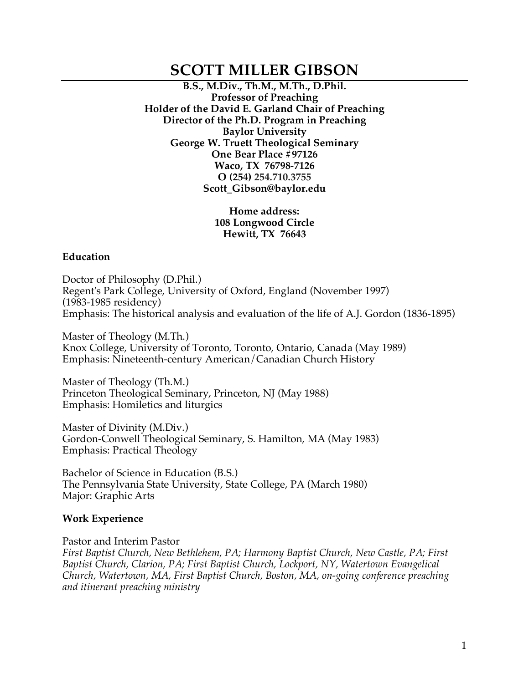# **SCOTT MILLER GIBSON**

**B.S., M.Div., Th.M., M.Th., D.Phil. Professor of Preaching Holder of the David E. Garland Chair of Preaching Director of the Ph.D. Program in Preaching Baylor University George W. Truett Theological Seminary One Bear Place #97126 Waco, TX 76798-7126 O (254) 254.710.3755 Scott\_Gibson@baylor.edu**

> **Home address: 108 Longwood Circle Hewitt, TX 76643**

#### **Education**

Doctor of Philosophy (D.Phil.) Regent's Park College, University of Oxford, England (November 1997) (1983-1985 residency) Emphasis: The historical analysis and evaluation of the life of A.J. Gordon (1836-1895)

Master of Theology (M.Th.) Knox College, University of Toronto, Toronto, Ontario, Canada (May 1989) Emphasis: Nineteenth-century American/Canadian Church History

Master of Theology (Th.M.) Princeton Theological Seminary, Princeton, NJ (May 1988) Emphasis: Homiletics and liturgics

Master of Divinity (M.Div.) Gordon-Conwell Theological Seminary, S. Hamilton, MA (May 1983) Emphasis: Practical Theology

Bachelor of Science in Education (B.S.) The Pennsylvania State University, State College, PA (March 1980) Major: Graphic Arts

#### **Work Experience**

Pastor and Interim Pastor *First Baptist Church, New Bethlehem, PA; Harmony Baptist Church, New Castle, PA; First Baptist Church, Clarion, PA; First Baptist Church, Lockport, NY, Watertown Evangelical Church, Watertown, MA, First Baptist Church, Boston, MA, on-going conference preaching and itinerant preaching ministry*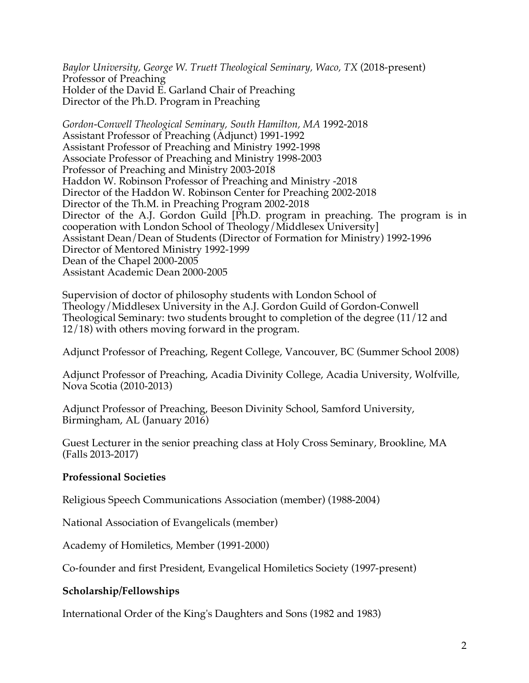*Baylor University, George W. Truett Theological Seminary, Waco, TX* (2018-present) Professor of Preaching Holder of the David E. Garland Chair of Preaching Director of the Ph.D. Program in Preaching

*Gordon-Conwell Theological Seminary, South Hamilton, MA* 1992-2018 Assistant Professor of Preaching (Adjunct) 1991-1992 Assistant Professor of Preaching and Ministry 1992-1998 Associate Professor of Preaching and Ministry 1998-2003 Professor of Preaching and Ministry 2003-2018 Haddon W. Robinson Professor of Preaching and Ministry -2018 Director of the Haddon W. Robinson Center for Preaching 2002-2018 Director of the Th.M. in Preaching Program 2002-2018 Director of the A.J. Gordon Guild [Ph.D. program in preaching. The program is in cooperation with London School of Theology/Middlesex University] Assistant Dean/Dean of Students (Director of Formation for Ministry) 1992-1996 Director of Mentored Ministry 1992-1999 Dean of the Chapel 2000-2005 Assistant Academic Dean 2000-2005

Supervision of doctor of philosophy students with London School of Theology/Middlesex University in the A.J. Gordon Guild of Gordon-Conwell Theological Seminary: two students brought to completion of the degree (11/12 and 12/18) with others moving forward in the program.

Adjunct Professor of Preaching, Regent College, Vancouver, BC (Summer School 2008)

Adjunct Professor of Preaching, Acadia Divinity College, Acadia University, Wolfville, Nova Scotia (2010-2013)

Adjunct Professor of Preaching, Beeson Divinity School, Samford University, Birmingham, AL (January 2016)

Guest Lecturer in the senior preaching class at Holy Cross Seminary, Brookline, MA (Falls 2013-2017)

## **Professional Societies**

Religious Speech Communications Association (member) (1988-2004)

National Association of Evangelicals (member)

Academy of Homiletics, Member (1991-2000)

Co-founder and first President, Evangelical Homiletics Society (1997-present)

## **Scholarship/Fellowships**

International Order of the King's Daughters and Sons (1982 and 1983)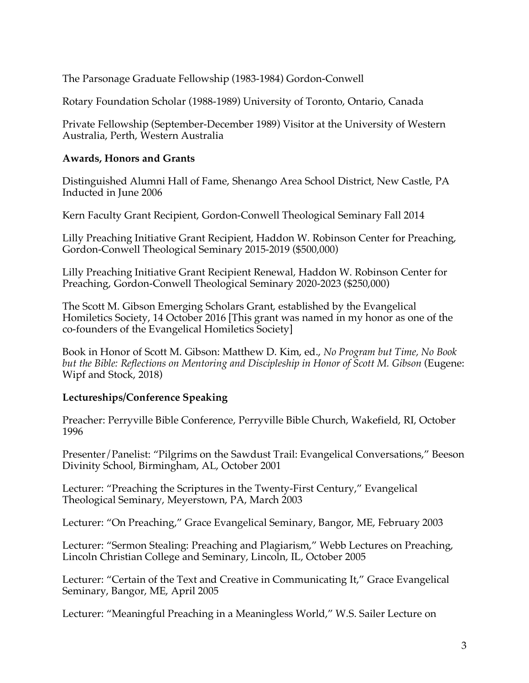The Parsonage Graduate Fellowship (1983-1984) Gordon-Conwell

Rotary Foundation Scholar (1988-1989) University of Toronto, Ontario, Canada

Private Fellowship (September-December 1989) Visitor at the University of Western Australia, Perth, Western Australia

## **Awards, Honors and Grants**

Distinguished Alumni Hall of Fame, Shenango Area School District, New Castle, PA Inducted in June 2006

Kern Faculty Grant Recipient, Gordon-Conwell Theological Seminary Fall 2014

Lilly Preaching Initiative Grant Recipient, Haddon W. Robinson Center for Preaching, Gordon-Conwell Theological Seminary 2015-2019 (\$500,000)

Lilly Preaching Initiative Grant Recipient Renewal, Haddon W. Robinson Center for Preaching, Gordon-Conwell Theological Seminary 2020-2023 (\$250,000)

The Scott M. Gibson Emerging Scholars Grant, established by the Evangelical Homiletics Society, 14 October 2016 [This grant was named in my honor as one of the co-founders of the Evangelical Homiletics Society]

Book in Honor of Scott M. Gibson: Matthew D. Kim, ed., *No Program but Time, No Book but the Bible: Reflections on Mentoring and Discipleship in Honor of Scott M. Gibson* (Eugene: Wipf and Stock, 2018)

# **Lectureships/Conference Speaking**

Preacher: Perryville Bible Conference, Perryville Bible Church, Wakefield, RI, October 1996

Presenter/Panelist: "Pilgrims on the Sawdust Trail: Evangelical Conversations," Beeson Divinity School, Birmingham, AL, October 2001

Lecturer: "Preaching the Scriptures in the Twenty-First Century," Evangelical Theological Seminary, Meyerstown, PA, March 2003

Lecturer: "On Preaching," Grace Evangelical Seminary, Bangor, ME, February 2003

Lecturer: "Sermon Stealing: Preaching and Plagiarism," Webb Lectures on Preaching, Lincoln Christian College and Seminary, Lincoln, IL, October 2005

Lecturer: "Certain of the Text and Creative in Communicating It," Grace Evangelical Seminary, Bangor, ME, April 2005

Lecturer: "Meaningful Preaching in a Meaningless World," W.S. Sailer Lecture on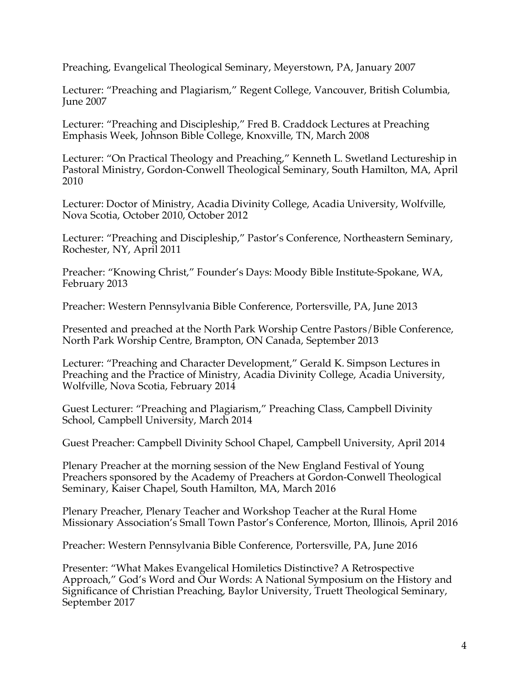Preaching, Evangelical Theological Seminary, Meyerstown, PA, January 2007

Lecturer: "Preaching and Plagiarism," Regent College, Vancouver, British Columbia, June 2007

Lecturer: "Preaching and Discipleship," Fred B. Craddock Lectures at Preaching Emphasis Week, Johnson Bible College, Knoxville, TN, March 2008

Lecturer: "On Practical Theology and Preaching," Kenneth L. Swetland Lectureship in Pastoral Ministry, Gordon-Conwell Theological Seminary, South Hamilton, MA, April 2010

Lecturer: Doctor of Ministry, Acadia Divinity College, Acadia University, Wolfville, Nova Scotia, October 2010, October 2012

Lecturer: "Preaching and Discipleship," Pastor's Conference, Northeastern Seminary, Rochester, NY, April 2011

Preacher: "Knowing Christ," Founder's Days: Moody Bible Institute-Spokane, WA, February 2013

Preacher: Western Pennsylvania Bible Conference, Portersville, PA, June 2013

Presented and preached at the North Park Worship Centre Pastors/Bible Conference, North Park Worship Centre, Brampton, ON Canada, September 2013

Lecturer: "Preaching and Character Development," Gerald K. Simpson Lectures in Preaching and the Practice of Ministry, Acadia Divinity College, Acadia University, Wolfville, Nova Scotia, February 2014

Guest Lecturer: "Preaching and Plagiarism," Preaching Class, Campbell Divinity School, Campbell University, March 2014

Guest Preacher: Campbell Divinity School Chapel, Campbell University, April 2014

Plenary Preacher at the morning session of the New England Festival of Young Preachers sponsored by the Academy of Preachers at Gordon-Conwell Theological Seminary, Kaiser Chapel, South Hamilton, MA, March 2016

Plenary Preacher, Plenary Teacher and Workshop Teacher at the Rural Home Missionary Association's Small Town Pastor's Conference, Morton, Illinois, April 2016

Preacher: Western Pennsylvania Bible Conference, Portersville, PA, June 2016

Presenter: "What Makes Evangelical Homiletics Distinctive? A Retrospective Approach," God's Word and Our Words: A National Symposium on the History and Significance of Christian Preaching, Baylor University, Truett Theological Seminary, September 2017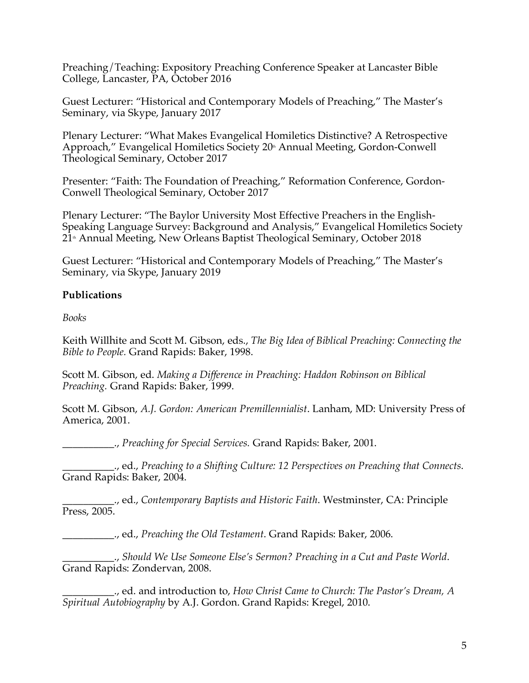Preaching/Teaching: Expository Preaching Conference Speaker at Lancaster Bible College, Lancaster, PA, October 2016

Guest Lecturer: "Historical and Contemporary Models of Preaching," The Master's Seminary, via Skype, January 2017

Plenary Lecturer: "What Makes Evangelical Homiletics Distinctive? A Retrospective Approach," Evangelical Homiletics Society 20<sup>th</sup> Annual Meeting, Gordon-Conwell Theological Seminary, October 2017

Presenter: "Faith: The Foundation of Preaching," Reformation Conference, Gordon-Conwell Theological Seminary, October 2017

Plenary Lecturer: "The Baylor University Most Effective Preachers in the English-Speaking Language Survey: Background and Analysis," Evangelical Homiletics Society  $21^{\text{th}}$  Annual Meeting, New Orleans Baptist Theological Seminary, October 2018

Guest Lecturer: "Historical and Contemporary Models of Preaching," The Master's Seminary, via Skype, January 2019

## **Publications**

*Books*

Keith Willhite and Scott M. Gibson, eds., *The Big Idea of Biblical Preaching: Connecting the Bible to People.* Grand Rapids: Baker, 1998.

Scott M. Gibson, ed. *Making a Difference in Preaching: Haddon Robinson on Biblical Preaching.* Grand Rapids: Baker, 1999.

Scott M. Gibson, *A.J. Gordon: American Premillennialist*. Lanham, MD: University Press of America, 2001.

\_\_\_\_\_\_\_\_\_\_., *Preaching for Special Services.* Grand Rapids: Baker, 2001.

\_\_\_\_\_\_\_\_\_\_., ed., *Preaching to a Shifting Culture: 12 Perspectives on Preaching that Connects*. Grand Rapids: Baker, 2004.

\_\_\_\_\_\_\_\_\_\_., ed., *Contemporary Baptists and Historic Faith*. Westminster, CA: Principle Press, 2005.

\_\_\_\_\_\_\_\_\_\_., ed., *Preaching the Old Testament*. Grand Rapids: Baker, 2006.

\_\_\_\_\_\_\_\_\_\_., *Should We Use Someone Else's Sermon? Preaching in a Cut and Paste World*. Grand Rapids: Zondervan, 2008.

\_\_\_\_\_\_\_\_\_\_., ed. and introduction to, *How Christ Came to Church: The Pastor's Dream, A Spiritual Autobiography* by A.J. Gordon. Grand Rapids: Kregel, 2010.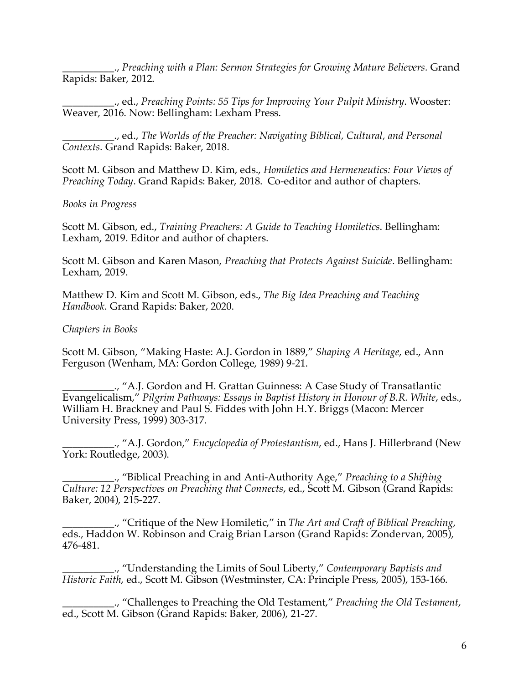\_\_\_\_\_\_\_\_\_\_., *Preaching with a Plan: Sermon Strategies for Growing Mature Believers.* Grand Rapids: Baker, 2012.

\_\_\_\_\_\_\_\_\_\_., ed., *Preaching Points: 55 Tips for Improving Your Pulpit Ministry*. Wooster: Weaver, 2016. Now: Bellingham: Lexham Press.

\_\_\_\_\_\_\_\_\_\_., ed., *The Worlds of the Preacher: Navigating Biblical, Cultural, and Personal Contexts*. Grand Rapids: Baker, 2018.

Scott M. Gibson and Matthew D. Kim, eds., *Homiletics and Hermeneutics: Four Views of Preaching Today*. Grand Rapids: Baker, 2018. Co-editor and author of chapters.

*Books in Progress*

Scott M. Gibson, ed., *Training Preachers: A Guide to Teaching Homiletics*. Bellingham: Lexham, 2019. Editor and author of chapters.

Scott M. Gibson and Karen Mason, *Preaching that Protects Against Suicide*. Bellingham: Lexham, 2019.

Matthew D. Kim and Scott M. Gibson, eds., *The Big Idea Preaching and Teaching Handbook*. Grand Rapids: Baker, 2020.

## *Chapters in Books*

Scott M. Gibson, "Making Haste: A.J. Gordon in 1889," *Shaping A Heritage*, ed., Ann Ferguson (Wenham, MA: Gordon College, 1989) 9-21.

\_\_\_\_\_\_\_\_\_\_., "A.J. Gordon and H. Grattan Guinness: A Case Study of Transatlantic Evangelicalism," *Pilgrim Pathways: Essays in Baptist History in Honour of B.R. White*, eds., William H. Brackney and Paul S. Fiddes with John H.Y. Briggs (Macon: Mercer University Press, 1999) 303-317.

\_\_\_\_\_\_\_\_\_\_., "A.J. Gordon," *Encyclopedia of Protestantism*, ed., Hans J. Hillerbrand (New York: Routledge, 2003).

\_\_\_\_\_\_\_\_\_\_., "Biblical Preaching in and Anti-Authority Age," *Preaching to a Shifting Culture: 12 Perspectives on Preaching that Connects*, ed., Scott M. Gibson (Grand Rapids: Baker, 2004), 215-227.

\_\_\_\_\_\_\_\_\_\_., "Critique of the New Homiletic," in *The Art and Craft of Biblical Preaching*, eds., Haddon W. Robinson and Craig Brian Larson (Grand Rapids: Zondervan, 2005), 476-481.

\_\_\_\_\_\_\_\_\_\_., "Understanding the Limits of Soul Liberty," *Contemporary Baptists and Historic Faith*, ed., Scott M. Gibson (Westminster, CA: Principle Press, 2005), 153-166.

\_\_\_\_\_\_\_\_\_\_., "Challenges to Preaching the Old Testament," *Preaching the Old Testament*, ed., Scott M. Gibson (Grand Rapids: Baker, 2006), 21-27.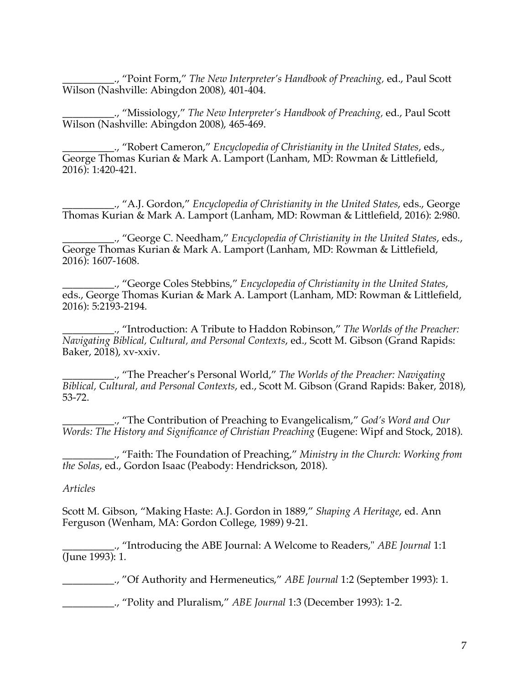\_\_\_\_\_\_\_\_\_\_., "Point Form," *The New Interpreter's Handbook of Preaching,* ed., Paul Scott Wilson (Nashville: Abingdon 2008), 401-404.

\_\_\_\_\_\_\_\_\_\_., "Missiology," *The New Interpreter's Handbook of Preaching,* ed., Paul Scott Wilson (Nashville: Abingdon 2008), 465-469.

\_\_\_\_\_\_\_\_\_\_., "Robert Cameron," *Encyclopedia of Christianity in the United States*, eds., George Thomas Kurian & Mark A. Lamport (Lanham, MD: Rowman & Littlefield, 2016): 1:420-421.

\_\_\_\_\_\_\_\_\_\_., "A.J. Gordon," *Encyclopedia of Christianity in the United States*, eds., George Thomas Kurian & Mark A. Lamport (Lanham, MD: Rowman & Littlefield, 2016): 2:980.

\_\_\_\_\_\_\_\_\_\_., "George C. Needham," *Encyclopedia of Christianity in the United States*, eds., George Thomas Kurian & Mark A. Lamport (Lanham, MD: Rowman & Littlefield, 2016): 1607-1608.

\_\_\_\_\_\_\_\_\_\_., "George Coles Stebbins," *Encyclopedia of Christianity in the United States*, eds., George Thomas Kurian & Mark A. Lamport (Lanham, MD: Rowman & Littlefield, 2016): 5:2193-2194.

\_\_\_\_\_\_\_\_\_\_., "Introduction: A Tribute to Haddon Robinson," *The Worlds of the Preacher: Navigating Biblical, Cultural, and Personal Contexts*, ed., Scott M. Gibson (Grand Rapids: Baker, 2018), xv-xxiv.

\_\_\_\_\_\_\_\_\_\_., "The Preacher's Personal World," *The Worlds of the Preacher: Navigating Biblical, Cultural, and Personal Contexts*, ed., Scott M. Gibson (Grand Rapids: Baker, 2018), 53-72.

\_\_\_\_\_\_\_\_\_\_., "The Contribution of Preaching to Evangelicalism," *God's Word and Our Words: The History and Significance of Christian Preaching* (Eugene: Wipf and Stock, 2018).

\_\_\_\_\_\_\_\_\_\_., "Faith: The Foundation of Preaching," *Ministry in the Church: Working from the Solas*, ed., Gordon Isaac (Peabody: Hendrickson, 2018).

#### *Articles*

Scott M. Gibson, "Making Haste: A.J. Gordon in 1889," *Shaping A Heritage*, ed. Ann Ferguson (Wenham, MA: Gordon College, 1989) 9-21.

\_\_\_\_\_\_\_\_\_\_., "Introducing the ABE Journal: A Welcome to Readers," *ABE Journal* 1:1 (June 1993): 1.

\_\_\_\_\_\_\_\_\_\_., "Of Authority and Hermeneutics," *ABE Journal* 1:2 (September 1993): 1.

\_\_\_\_\_\_\_\_\_\_., "Polity and Pluralism," *ABE Journal* 1:3 (December 1993): 1-2.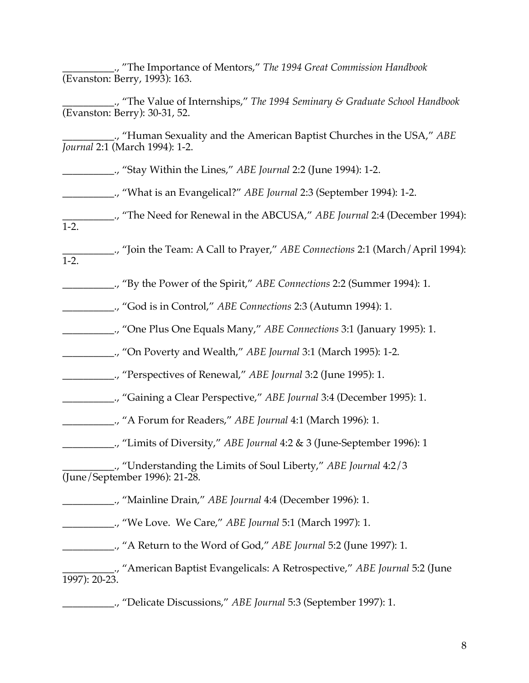\_\_\_\_\_\_\_\_\_\_., "The Importance of Mentors," *The 1994 Great Commission Handbook* (Evanston: Berry, 1993): 163.

\_\_\_\_\_\_\_\_\_\_., "The Value of Internships," *The 1994 Seminary & Graduate School Handbook* (Evanston: Berry): 30-31, 52.

\_\_\_\_\_\_\_\_\_\_., "Human Sexuality and the American Baptist Churches in the USA," *ABE Journal* 2:1 (March 1994): 1-2.

\_\_\_\_\_\_\_\_\_\_., "Stay Within the Lines," *ABE Journal* 2:2 (June 1994): 1-2.

\_\_\_\_\_\_\_\_\_\_., "What is an Evangelical?" *ABE Journal* 2:3 (September 1994): 1-2.

\_\_\_\_\_\_\_\_\_\_., "The Need for Renewal in the ABCUSA," *ABE Journal* 2:4 (December 1994): 1-2.

\_\_\_\_\_\_\_\_\_\_., "Join the Team: A Call to Prayer," *ABE Connections* 2:1 (March/April 1994): 1-2.

\_\_\_\_\_\_\_\_\_\_., "By the Power of the Spirit," *ABE Connections* 2:2 (Summer 1994): 1.

\_\_\_\_\_\_\_\_\_\_., "God is in Control," *ABE Connections* 2:3 (Autumn 1994): 1.

\_\_\_\_\_\_\_\_\_\_., "One Plus One Equals Many," *ABE Connections* 3:1 (January 1995): 1.

\_\_\_\_\_\_\_\_\_\_., "On Poverty and Wealth," *ABE Journal* 3:1 (March 1995): 1-2.

\_\_\_\_\_\_\_\_\_\_., "Perspectives of Renewal," *ABE Journal* 3:2 (June 1995): 1.

\_\_\_\_\_\_\_\_\_\_., "Gaining a Clear Perspective," *ABE Journal* 3:4 (December 1995): 1.

\_\_\_\_\_\_\_\_\_\_., "A Forum for Readers," *ABE Journal* 4:1 (March 1996): 1.

\_\_\_\_\_\_\_\_\_\_., "Limits of Diversity," *ABE Journal* 4:2 & 3 (June-September 1996): 1

\_\_\_\_\_\_\_\_\_\_., "Understanding the Limits of Soul Liberty," *ABE Journal* 4:2/3 (June/September 1996): 21-28.

\_\_\_\_\_\_\_\_\_\_., "Mainline Drain," *ABE Journal* 4:4 (December 1996): 1.

\_\_\_\_\_\_\_\_\_\_., "We Love. We Care," *ABE Journal* 5:1 (March 1997): 1.

\_\_\_\_\_\_\_\_\_\_., "A Return to the Word of God," *ABE Journal* 5:2 (June 1997): 1.

\_\_\_\_\_\_\_\_\_\_., "American Baptist Evangelicals: A Retrospective," *ABE Journal* 5:2 (June 1997): 20-23.

\_\_\_\_\_\_\_\_\_\_., "Delicate Discussions," *ABE Journal* 5:3 (September 1997): 1.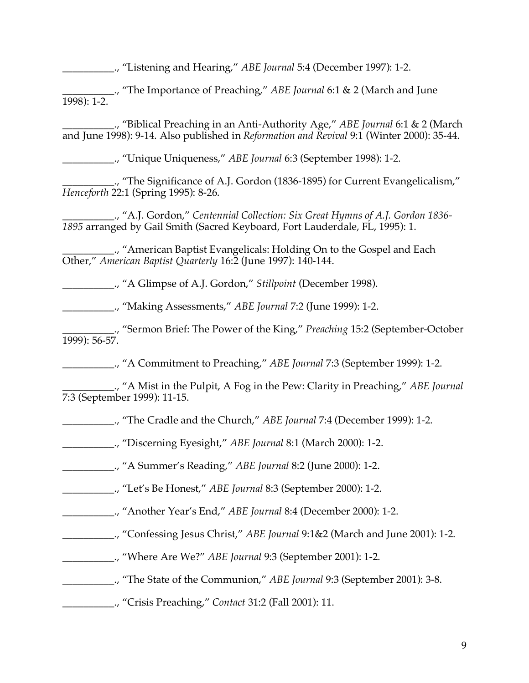\_\_\_\_\_\_\_\_\_\_., "Listening and Hearing," *ABE Journal* 5:4 (December 1997): 1-2.

\_\_\_\_\_\_\_\_\_\_., "The Importance of Preaching," *ABE Journal* 6:1 & 2 (March and June 1998): 1-2.

\_\_\_\_\_\_\_\_\_\_., "Biblical Preaching in an Anti-Authority Age," *ABE Journal* 6:1 & 2 (March and June 1998): 9-14. Also published in *Reformation and Revival* 9:1 (Winter 2000): 35-44.

\_\_\_\_\_\_\_\_\_\_., "Unique Uniqueness," *ABE Journal* 6:3 (September 1998): 1-2.

\_\_\_\_\_\_\_\_\_\_., "The Significance of A.J. Gordon (1836-1895) for Current Evangelicalism," *Henceforth* 22:1 (Spring 1995): 8-26.

\_\_\_\_\_\_\_\_\_\_., "A.J. Gordon," *Centennial Collection: Six Great Hymns of A.J. Gordon 1836- 1895* arranged by Gail Smith (Sacred Keyboard, Fort Lauderdale, FL, 1995): 1.

\_\_\_\_\_\_\_\_\_\_., "American Baptist Evangelicals: Holding On to the Gospel and Each Other," *American Baptist Quarterly* 16:2 (June 1997): 140-144.

\_\_\_\_\_\_\_\_\_\_., "A Glimpse of A.J. Gordon," *Stillpoint* (December 1998).

\_\_\_\_\_\_\_\_\_\_., "Making Assessments," *ABE Journal* 7:2 (June 1999): 1-2.

\_\_\_\_\_\_\_\_\_\_., "Sermon Brief: The Power of the King," *Preaching* 15:2 (September-October 1999): 56-57.

\_\_\_\_\_\_\_\_\_\_., "A Commitment to Preaching," *ABE Journal* 7:3 (September 1999): 1-2.

\_\_\_\_\_\_\_\_\_\_., "A Mist in the Pulpit, A Fog in the Pew: Clarity in Preaching," *ABE Journal* 7:3 (September 1999): 11-15.

- \_\_\_\_\_\_\_\_\_\_., "The Cradle and the Church," *ABE Journal* 7:4 (December 1999): 1-2.
- \_\_\_\_\_\_\_\_\_\_., "Discerning Eyesight," *ABE Journal* 8:1 (March 2000): 1-2.
- \_\_\_\_\_\_\_\_\_\_., "A Summer's Reading," *ABE Journal* 8:2 (June 2000): 1-2.
- \_\_\_\_\_\_\_\_\_\_., "Let's Be Honest," *ABE Journal* 8:3 (September 2000): 1-2.
- \_\_\_\_\_\_\_\_\_\_., "Another Year's End," *ABE Journal* 8:4 (December 2000): 1-2.
- \_\_\_\_\_\_\_\_\_\_., "Confessing Jesus Christ," *ABE Journal* 9:1&2 (March and June 2001): 1-2.
	- \_\_\_\_\_\_\_\_\_\_., "Where Are We?" *ABE Journal* 9:3 (September 2001): 1-2.
	- \_\_\_\_\_\_\_\_\_\_., "The State of the Communion," *ABE Journal* 9:3 (September 2001): 3-8.
	- \_\_\_\_\_\_\_\_\_\_., "Crisis Preaching," *Contact* 31:2 (Fall 2001): 11.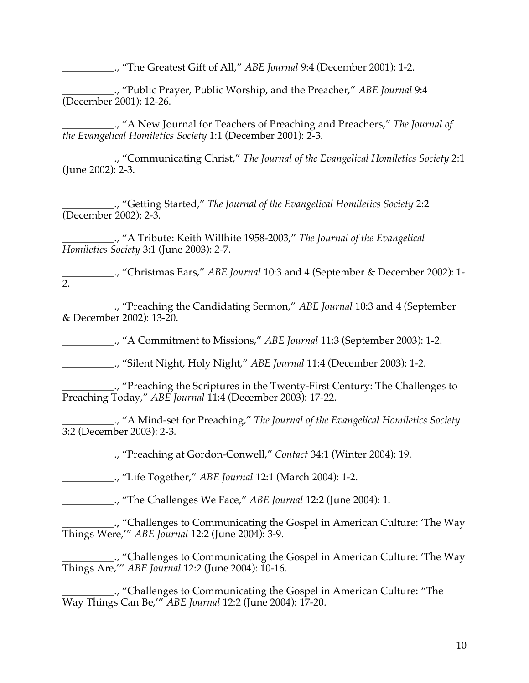\_\_\_\_\_\_\_\_\_\_., "The Greatest Gift of All," *ABE Journal* 9:4 (December 2001): 1-2.

\_\_\_\_\_\_\_\_\_\_., "Public Prayer, Public Worship, and the Preacher," *ABE Journal* 9:4 (December 2001): 12-26.

\_\_\_\_\_\_\_\_\_\_., "A New Journal for Teachers of Preaching and Preachers," *The Journal of the Evangelical Homiletics Society* 1:1 (December 2001): 2-3.

\_\_\_\_\_\_\_\_\_\_., "Communicating Christ," *The Journal of the Evangelical Homiletics Society* 2:1 (June 2002): 2-3.

\_\_\_\_\_\_\_\_\_\_., "Getting Started," *The Journal of the Evangelical Homiletics Society* 2:2 (December 2002): 2-3.

\_\_\_\_\_\_\_\_\_\_., "A Tribute: Keith Willhite 1958-2003," *The Journal of the Evangelical Homiletics Society* 3:1 (June 2003): 2-7.

\_\_\_\_\_\_\_\_\_\_., "Christmas Ears," *ABE Journal* 10:3 and 4 (September & December 2002): 1- 2.

\_\_\_\_\_\_\_\_\_\_., "Preaching the Candidating Sermon," *ABE Journal* 10:3 and 4 (September & December 2002): 13-20.

\_\_\_\_\_\_\_\_\_\_., "A Commitment to Missions," *ABE Journal* 11:3 (September 2003): 1-2.

\_\_\_\_\_\_\_\_\_\_., "Silent Night, Holy Night," *ABE Journal* 11:4 (December 2003): 1-2.

\_\_\_\_\_\_\_\_\_\_., "Preaching the Scriptures in the Twenty-First Century: The Challenges to Preaching Today," *ABE Journal* 11:4 (December 2003): 17-22.

\_\_\_\_\_\_\_\_\_\_., "A Mind-set for Preaching," *The Journal of the Evangelical Homiletics Society* 3:2 (December 2003): 2-3.

\_\_\_\_\_\_\_\_\_\_., "Preaching at Gordon-Conwell," *Contact* 34:1 (Winter 2004): 19.

\_\_\_\_\_\_\_\_\_\_., "Life Together," *ABE Journal* 12:1 (March 2004): 1-2.

\_\_\_\_\_\_\_\_\_\_., "The Challenges We Face," *ABE Journal* 12:2 (June 2004): 1.

**\_\_\_\_\_\_\_\_\_\_.,** "Challenges to Communicating the Gospel in American Culture: 'The Way Things Were,'" *ABE Journal* 12:2 (June 2004): 3-9.

\_\_\_\_\_\_\_\_\_\_., "Challenges to Communicating the Gospel in American Culture: 'The Way Things Are,'" *ABE Journal* 12:2 (June 2004): 10-16.

\_\_\_\_\_\_\_\_\_\_., "Challenges to Communicating the Gospel in American Culture: "The Way Things Can Be,'" *ABE Journal* 12:2 (June 2004): 17-20.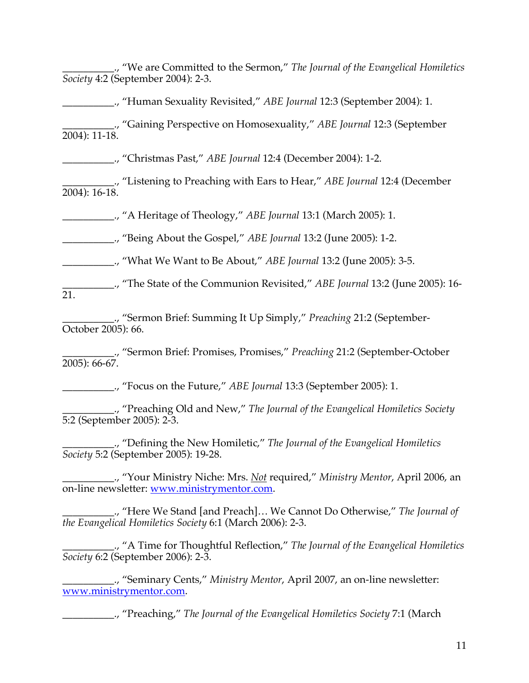\_\_\_\_\_\_\_\_\_\_., "We are Committed to the Sermon," *The Journal of the Evangelical Homiletics Society* 4:2 (September 2004): 2-3.

\_\_\_\_\_\_\_\_\_\_., "Human Sexuality Revisited," *ABE Journal* 12:3 (September 2004): 1.

\_\_\_\_\_\_\_\_\_\_., "Gaining Perspective on Homosexuality," *ABE Journal* 12:3 (September 2004): 11-18.

\_\_\_\_\_\_\_\_\_\_., "Christmas Past," *ABE Journal* 12:4 (December 2004): 1-2.

\_\_\_\_\_\_\_\_\_\_., "Listening to Preaching with Ears to Hear," *ABE Journal* 12:4 (December 2004): 16-18.

\_\_\_\_\_\_\_\_\_\_., "A Heritage of Theology," *ABE Journal* 13:1 (March 2005): 1.

\_\_\_\_\_\_\_\_\_\_., "Being About the Gospel," *ABE Journal* 13:2 (June 2005): 1-2.

\_\_\_\_\_\_\_\_\_\_., "What We Want to Be About," *ABE Journal* 13:2 (June 2005): 3-5.

\_\_\_\_\_\_\_\_\_\_., "The State of the Communion Revisited," *ABE Journal* 13:2 (June 2005): 16-  $\overline{21}$ .

\_\_\_\_\_\_\_\_\_\_., "Sermon Brief: Summing It Up Simply," *Preaching* 21:2 (September-October 2005): 66.

\_\_\_\_\_\_\_\_\_\_., "Sermon Brief: Promises, Promises," *Preaching* 21:2 (September-October 2005): 66-67.

\_\_\_\_\_\_\_\_\_\_., "Focus on the Future," *ABE Journal* 13:3 (September 2005): 1.

\_\_\_\_\_\_\_\_\_\_., "Preaching Old and New," *The Journal of the Evangelical Homiletics Society* 5:2 (September 2005): 2-3.

\_\_\_\_\_\_\_\_\_\_., "Defining the New Homiletic," *The Journal of the Evangelical Homiletics Society* 5:2 (September 2005): 19-28.

\_\_\_\_\_\_\_\_\_\_., "Your Ministry Niche: Mrs. *Not* required," *Ministry Mentor*, April 2006, an on-line newsletter: www.ministrymentor.com.

\_\_\_\_\_\_\_\_\_\_., "Here We Stand [and Preach]… We Cannot Do Otherwise," *The Journal of the Evangelical Homiletics Society* 6:1 (March 2006): 2-3.

\_\_\_\_\_\_\_\_\_\_., "A Time for Thoughtful Reflection," *The Journal of the Evangelical Homiletics Society* 6:2 (September 2006): 2-3.

\_\_\_\_\_\_\_\_\_\_., "Seminary Cents," *Ministry Mentor*, April 2007, an on-line newsletter: www.ministrymentor.com.

\_\_\_\_\_\_\_\_\_\_., "Preaching," *The Journal of the Evangelical Homiletics Society* 7:1 (March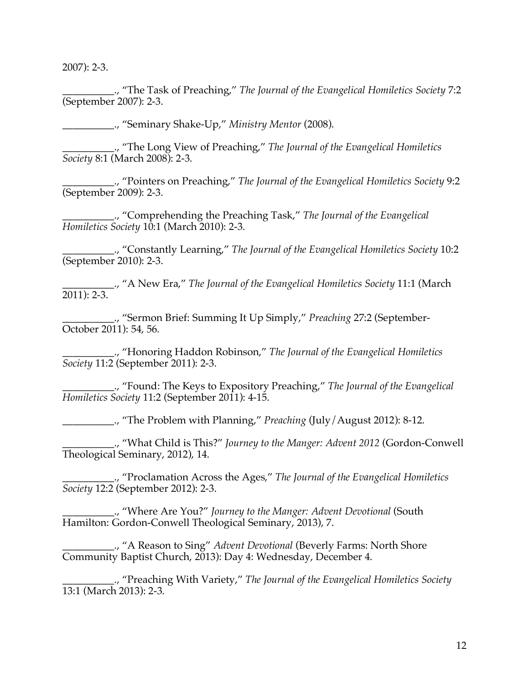2007): 2-3.

\_\_\_\_\_\_\_\_\_\_., "The Task of Preaching," *The Journal of the Evangelical Homiletics Society* 7:2 (September 2007): 2-3.

\_\_\_\_\_\_\_\_\_\_., "Seminary Shake-Up," *Ministry Mentor* (2008).

\_\_\_\_\_\_\_\_\_\_., "The Long View of Preaching," *The Journal of the Evangelical Homiletics Society* 8:1 (March 2008): 2-3.

\_\_\_\_\_\_\_\_\_\_., "Pointers on Preaching," *The Journal of the Evangelical Homiletics Society* 9:2 (September 2009): 2-3.

\_\_\_\_\_\_\_\_\_\_., "Comprehending the Preaching Task," *The Journal of the Evangelical Homiletics Society* 10:1 (March 2010): 2-3.

\_\_\_\_\_\_\_\_\_\_., "Constantly Learning," *The Journal of the Evangelical Homiletics Society* 10:2 (September 2010): 2-3.

\_\_\_\_\_\_\_\_\_\_., "A New Era," *The Journal of the Evangelical Homiletics Society* 11:1 (March 2011): 2-3.

\_\_\_\_\_\_\_\_\_\_., "Sermon Brief: Summing It Up Simply," *Preaching* 27:2 (September-October 2011): 54, 56.

\_\_\_\_\_\_\_\_\_\_., "Honoring Haddon Robinson," *The Journal of the Evangelical Homiletics Society* 11:2 (September 2011): 2-3.

\_\_\_\_\_\_\_\_\_\_., "Found: The Keys to Expository Preaching," *The Journal of the Evangelical Homiletics Society* 11:2 (September 2011): 4-15.

\_\_\_\_\_\_\_\_\_\_., "The Problem with Planning," *Preaching* (July/August 2012): 8-12.

\_\_\_\_\_\_\_\_\_\_., "What Child is This?" *Journey to the Manger: Advent 2012* (Gordon-Conwell Theological Seminary, 2012), 14.

\_\_\_\_\_\_\_\_\_\_., "Proclamation Across the Ages," *The Journal of the Evangelical Homiletics Society* 12:2 (September 2012): 2-3.

\_\_\_\_\_\_\_\_\_\_., "Where Are You?" *Journey to the Manger: Advent Devotional* (South Hamilton: Gordon-Conwell Theological Seminary, 2013), 7.

\_\_\_\_\_\_\_\_\_\_., "A Reason to Sing" *Advent Devotional* (Beverly Farms: North Shore Community Baptist Church, 2013): Day 4: Wednesday, December 4.

\_\_\_\_\_\_\_\_\_\_., "Preaching With Variety," *The Journal of the Evangelical Homiletics Society* 13:1 (March 2013): 2-3.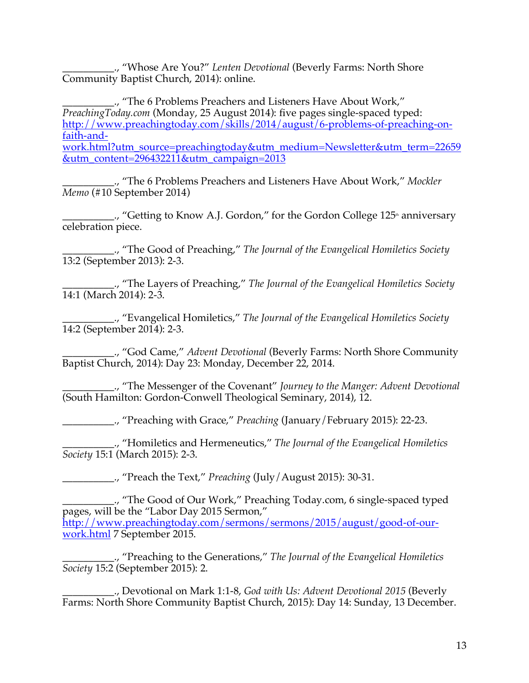\_\_\_\_\_\_\_\_\_\_., "Whose Are You?" *Lenten Devotional* (Beverly Farms: North Shore Community Baptist Church, 2014): online.

\_\_\_\_\_\_\_\_\_\_., "The 6 Problems Preachers and Listeners Have About Work," *PreachingToday.com* (Monday, 25 August 2014): five pages single-spaced typed: http://www.preachingtoday.com/skills/2014/august/6-problems-of-preaching-onfaith-andwork.html?utm\_source=preachingtoday&utm\_medium=Newsletter&utm\_term=22659 &utm\_content=296432211&utm\_campaign=2013

\_\_\_\_\_\_\_\_\_\_., "The 6 Problems Preachers and Listeners Have About Work," *Mockler Memo* (#10 September 2014)

 $\Box$ , "Getting to Know A.J. Gordon," for the Gordon College 125<sup>th</sup> anniversary celebration piece.

\_\_\_\_\_\_\_\_\_\_., "The Good of Preaching," *The Journal of the Evangelical Homiletics Society* 13:2 (September 2013): 2-3.

\_\_\_\_\_\_\_\_\_\_., "The Layers of Preaching," *The Journal of the Evangelical Homiletics Society* 14:1 (March 2014): 2-3.

\_\_\_\_\_\_\_\_\_\_., "Evangelical Homiletics," *The Journal of the Evangelical Homiletics Society* 14:2 (September 2014): 2-3.

\_\_\_\_\_\_\_\_\_\_., "God Came," *Advent Devotional* (Beverly Farms: North Shore Community Baptist Church, 2014): Day 23: Monday, December 22, 2014.

\_\_\_\_\_\_\_\_\_\_., "The Messenger of the Covenant" *Journey to the Manger: Advent Devotional* (South Hamilton: Gordon-Conwell Theological Seminary, 2014), 12.

\_\_\_\_\_\_\_\_\_\_., "Preaching with Grace," *Preaching* (January/February 2015): 22-23.

\_\_\_\_\_\_\_\_\_\_., "Homiletics and Hermeneutics," *The Journal of the Evangelical Homiletics Society* 15:1 (March 2015): 2-3.

\_\_\_\_\_\_\_\_\_\_., "Preach the Text," *Preaching* (July/August 2015): 30-31.

\_\_\_\_\_\_\_\_\_\_., "The Good of Our Work," Preaching Today.com, 6 single-spaced typed pages, will be the "Labor Day 2015 Sermon," http://www.preachingtoday.com/sermons/sermons/2015/august/good-of-ourwork.html 7 September 2015.

\_\_\_\_\_\_\_\_\_\_., "Preaching to the Generations," *The Journal of the Evangelical Homiletics Society* 15:2 (September 2015): 2.

\_\_\_\_\_\_\_\_\_\_., Devotional on Mark 1:1-8, *God with Us: Advent Devotional 2015* (Beverly Farms: North Shore Community Baptist Church, 2015): Day 14: Sunday, 13 December.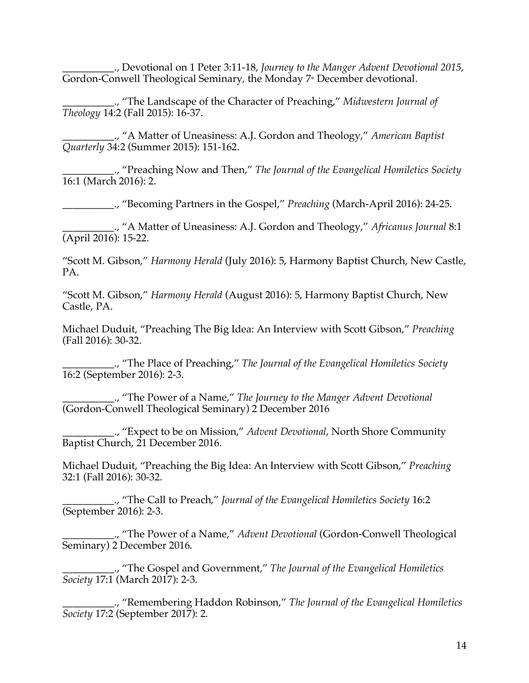\_\_\_\_\_\_\_\_\_\_., Devotional on 1 Peter 3:11-18, *Journey to the Manger Advent Devotional 2015*, Gordon-Conwell Theological Seminary, the Monday 7<sup>th</sup> December devotional.

\_\_\_\_\_\_\_\_\_\_., "The Landscape of the Character of Preaching," *Midwestern Journal of Theology* 14:2 (Fall 2015): 16-37.

\_\_\_\_\_\_\_\_\_\_., "A Matter of Uneasiness: A.J. Gordon and Theology," *American Baptist Quarterly* 34:2 (Summer 2015): 151-162.

\_\_\_\_\_\_\_\_\_\_., "Preaching Now and Then," *The Journal of the Evangelical Homiletics Society* 16:1 (March 2016): 2.

\_\_\_\_\_\_\_\_\_\_., "Becoming Partners in the Gospel," *Preaching* (March-April 2016): 24-25.

\_\_\_\_\_\_\_\_\_\_., "A Matter of Uneasiness: A.J. Gordon and Theology," *Africanus Journal* 8:1 (April 2016): 15-22.

"Scott M. Gibson," *Harmony Herald* (July 2016): 5, Harmony Baptist Church, New Castle, PA.

"Scott M. Gibson," *Harmony Herald* (August 2016): 5, Harmony Baptist Church, New Castle, PA.

Michael Duduit, "Preaching The Big Idea: An Interview with Scott Gibson," *Preaching* (Fall 2016): 30-32.

\_\_\_\_\_\_\_\_\_\_., "The Place of Preaching," *The Journal of the Evangelical Homiletics Society* 16:2 (September 2016): 2-3.

\_\_\_\_\_\_\_\_\_\_., "The Power of a Name," *The Journey to the Manger Advent Devotional* (Gordon-Conwell Theological Seminary) 2 December 2016

\_\_\_\_\_\_\_\_\_\_., "Expect to be on Mission," *Advent Devotional*, North Shore Community Baptist Church, 21 December 2016.

Michael Duduit, "Preaching the Big Idea: An Interview with Scott Gibson," *Preaching* 32:1 (Fall 2016): 30-32.

\_\_\_\_\_\_\_\_\_\_., "The Call to Preach," *Journal of the Evangelical Homiletics Society* 16:2 (September 2016): 2-3.

\_\_\_\_\_\_\_\_\_\_., "The Power of a Name," *Advent Devotional* (Gordon-Conwell Theological Seminary) 2 December 2016.

\_\_\_\_\_\_\_\_\_\_., "The Gospel and Government," *The Journal of the Evangelical Homiletics Society* 17:1 (March 2017): 2-3.

\_\_\_\_\_\_\_\_\_\_., "Remembering Haddon Robinson," *The Journal of the Evangelical Homiletics Society* 17:2 (September 2017): 2.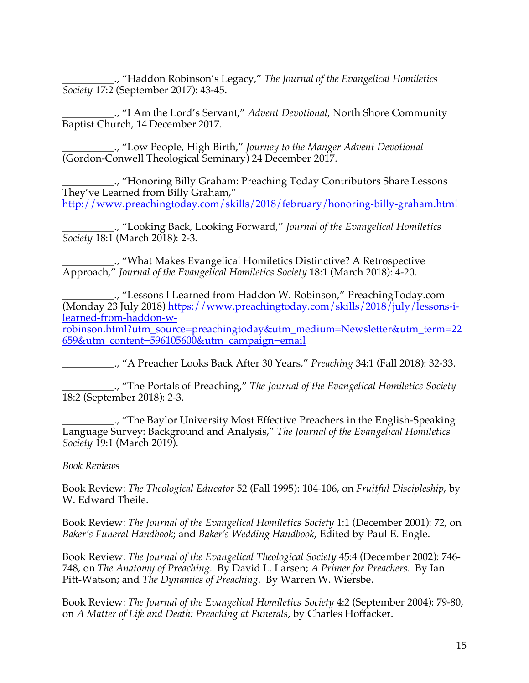\_\_\_\_\_\_\_\_\_\_., "Haddon Robinson's Legacy," *The Journal of the Evangelical Homiletics Society* 17:2 (September 2017): 43-45.

\_\_\_\_\_\_\_\_\_\_., "I Am the Lord's Servant," *Advent Devotional*, North Shore Community Baptist Church, 14 December 2017.

\_\_\_\_\_\_\_\_\_\_., "Low People, High Birth," *Journey to the Manger Advent Devotional* (Gordon-Conwell Theological Seminary) 24 December 2017.

\_\_\_\_\_\_\_\_\_\_., "Honoring Billy Graham: Preaching Today Contributors Share Lessons They've Learned from Billy Graham," http://www.preachingtoday.com/skills/2018/february/honoring-billy-graham.html

\_\_\_\_\_\_\_\_\_\_., "Looking Back, Looking Forward," *Journal of the Evangelical Homiletics Society* 18:1 (March 2018): 2-3.

\_\_\_\_\_\_\_\_\_\_., "What Makes Evangelical Homiletics Distinctive? A Retrospective Approach," *Journal of the Evangelical Homiletics Society* 18:1 (March 2018): 4-20.

\_\_\_\_\_\_\_\_\_\_., "Lessons I Learned from Haddon W. Robinson," PreachingToday.com (Monday 23 July 2018) https://www.preachingtoday.com/skills/2018/july/lessons-ilearned-from-haddon-w-

robinson.html?utm\_source=preachingtoday&utm\_medium=Newsletter&utm\_term=22 659&utm\_content=596105600&utm\_campaign=email

\_\_\_\_\_\_\_\_\_\_., "A Preacher Looks Back After 30 Years," *Preaching* 34:1 (Fall 2018): 32-33.

\_\_\_\_\_\_\_\_\_\_., "The Portals of Preaching," *The Journal of the Evangelical Homiletics Society* 18:2 (September 2018): 2-3.

\_\_\_\_\_\_\_\_\_\_., "The Baylor University Most Effective Preachers in the English-Speaking Language Survey: Background and Analysis," *The Journal of the Evangelical Homiletics Society* 19:1 (March 2019).

*Book Reviews*

Book Review: *The Theological Educator* 52 (Fall 1995): 104-106, on *Fruitful Discipleship*, by W. Edward Theile.

Book Review: *The Journal of the Evangelical Homiletics Society* 1:1 (December 2001): 72, on *Baker's Funeral Handbook*; and *Baker's Wedding Handbook*, Edited by Paul E. Engle.

Book Review: *The Journal of the Evangelical Theological Society* 45:4 (December 2002): 746- 748, on *The Anatomy of Preaching*. By David L. Larsen; *A Primer for Preachers*. By Ian Pitt-Watson; and *The Dynamics of Preaching*. By Warren W. Wiersbe.

Book Review: *The Journal of the Evangelical Homiletics Society* 4:2 (September 2004): 79-80, on *A Matter of Life and Death: Preaching at Funerals*, by Charles Hoffacker.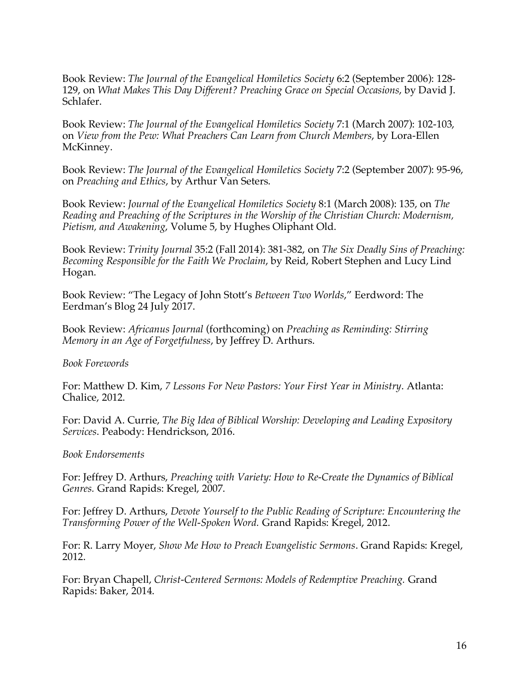Book Review: *The Journal of the Evangelical Homiletics Society* 6:2 (September 2006): 128- 129, on *What Makes This Day Different? Preaching Grace on Special Occasions*, by David J. Schlafer.

Book Review: *The Journal of the Evangelical Homiletics Society* 7:1 (March 2007): 102-103, on *View from the Pew: What Preachers Can Learn from Church Members*, by Lora-Ellen McKinney.

Book Review: *The Journal of the Evangelical Homiletics Society* 7:2 (September 2007): 95-96, on *Preaching and Ethics*, by Arthur Van Seters.

Book Review: *Journal of the Evangelical Homiletics Society* 8:1 (March 2008): 135, on *The Reading and Preaching of the Scriptures in the Worship of the Christian Church: Modernism, Pietism, and Awakening*, Volume 5, by Hughes Oliphant Old.

Book Review: *Trinity Journal* 35:2 (Fall 2014): 381-382, on *The Six Deadly Sins of Preaching: Becoming Responsible for the Faith We Proclaim*, by Reid, Robert Stephen and Lucy Lind Hogan.

Book Review: "The Legacy of John Stott's *Between Two Worlds*," Eerdword: The Eerdman's Blog 24 July 2017.

Book Review: *Africanus Journal* (forthcoming) on *Preaching as Reminding: Stirring Memory in an Age of Forgetfulness*, by Jeffrey D. Arthurs.

*Book Forewords*

For: Matthew D. Kim, *7 Lessons For New Pastors: Your First Year in Ministry*. Atlanta: Chalice, 2012.

For: David A. Currie, *The Big Idea of Biblical Worship: Developing and Leading Expository Services*. Peabody: Hendrickson, 2016.

*Book Endorsements*

For: Jeffrey D. Arthurs, *Preaching with Variety: How to Re-Create the Dynamics of Biblical Genres.* Grand Rapids: Kregel, 2007.

For: Jeffrey D. Arthurs, *Devote Yourself to the Public Reading of Scripture: Encountering the Transforming Power of the Well-Spoken Word.* Grand Rapids: Kregel, 2012.

For: R. Larry Moyer, *Show Me How to Preach Evangelistic Sermons*. Grand Rapids: Kregel, 2012.

For: Bryan Chapell, *Christ-Centered Sermons: Models of Redemptive Preaching.* Grand Rapids: Baker, 2014.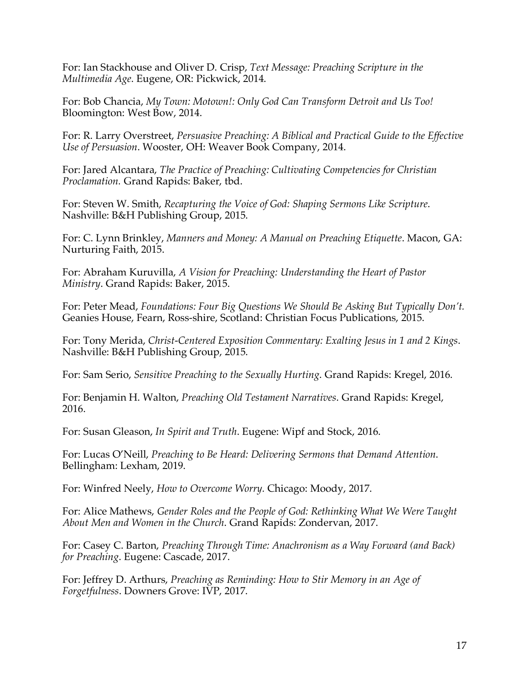For: Ian Stackhouse and Oliver D. Crisp, *Text Message: Preaching Scripture in the Multimedia Age*. Eugene, OR: Pickwick, 2014.

For: Bob Chancia, *My Town: Motown!: Only God Can Transform Detroit and Us Too!* Bloomington: West Bow, 2014.

For: R. Larry Overstreet, *Persuasive Preaching: A Biblical and Practical Guide to the Effective Use of Persuasion*. Wooster, OH: Weaver Book Company, 2014.

For: Jared Alcantara, *The Practice of Preaching: Cultivating Competencies for Christian Proclamation.* Grand Rapids: Baker, tbd.

For: Steven W. Smith, *Recapturing the Voice of God: Shaping Sermons Like Scripture*. Nashville: B&H Publishing Group, 2015.

For: C. Lynn Brinkley, *Manners and Money: A Manual on Preaching Etiquette*. Macon, GA: Nurturing Faith, 2015.

For: Abraham Kuruvilla, *A Vision for Preaching: Understanding the Heart of Pastor Ministry*. Grand Rapids: Baker, 2015.

For: Peter Mead, *Foundations: Four Big Questions We Should Be Asking But Typically Don't.* Geanies House, Fearn, Ross-shire, Scotland: Christian Focus Publications, 2015.

For: Tony Merida, *Christ-Centered Exposition Commentary: Exalting Jesus in 1 and 2 Kings*. Nashville: B&H Publishing Group, 2015.

For: Sam Serio, *Sensitive Preaching to the Sexually Hurting*. Grand Rapids: Kregel, 2016.

For: Benjamin H. Walton, *Preaching Old Testament Narratives*. Grand Rapids: Kregel, 2016.

For: Susan Gleason, *In Spirit and Truth*. Eugene: Wipf and Stock, 2016.

For: Lucas O'Neill, *Preaching to Be Heard: Delivering Sermons that Demand Attention*. Bellingham: Lexham, 2019.

For: Winfred Neely, *How to Overcome Worry.* Chicago: Moody, 2017.

For: Alice Mathews, *Gender Roles and the People of God: Rethinking What We Were Taught About Men and Women in the Church*. Grand Rapids: Zondervan, 2017.

For: Casey C. Barton, *Preaching Through Time: Anachronism as a Way Forward (and Back) for Preaching*. Eugene: Cascade, 2017.

For: Jeffrey D. Arthurs, *Preaching as Reminding: How to Stir Memory in an Age of Forgetfulness*. Downers Grove: IVP, 2017.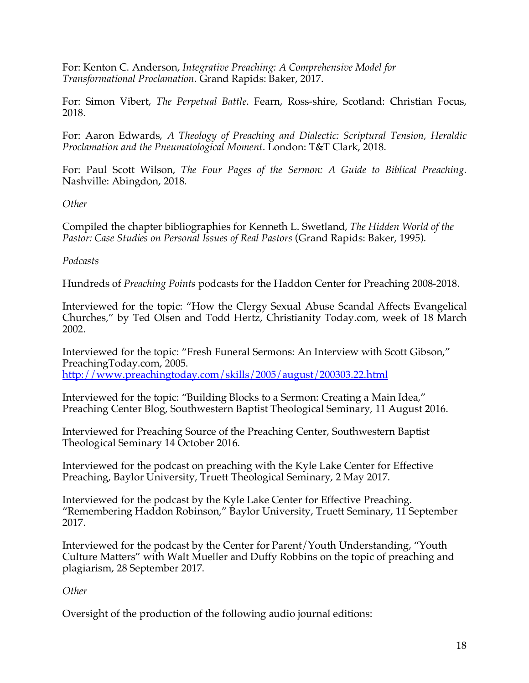For: Kenton C. Anderson, *Integrative Preaching: A Comprehensive Model for Transformational Proclamation*. Grand Rapids: Baker, 2017.

For: Simon Vibert, *The Perpetual Battle*. Fearn, Ross-shire, Scotland: Christian Focus, 2018.

For: Aaron Edwards, *A Theology of Preaching and Dialectic: Scriptural Tension, Heraldic Proclamation and the Pneumatological Moment*. London: T&T Clark, 2018.

For: Paul Scott Wilson, *The Four Pages of the Sermon: A Guide to Biblical Preaching*. Nashville: Abingdon, 2018.

*Other*

Compiled the chapter bibliographies for Kenneth L. Swetland, *The Hidden World of the Pastor: Case Studies on Personal Issues of Real Pastors* (Grand Rapids: Baker, 1995).

#### *Podcasts*

Hundreds of *Preaching Points* podcasts for the Haddon Center for Preaching 2008-2018.

Interviewed for the topic: "How the Clergy Sexual Abuse Scandal Affects Evangelical Churches," by Ted Olsen and Todd Hertz, Christianity Today.com, week of 18 March 2002.

Interviewed for the topic: "Fresh Funeral Sermons: An Interview with Scott Gibson," PreachingToday.com, 2005. http://www.preachingtoday.com/skills/2005/august/200303.22.html

Interviewed for the topic: "Building Blocks to a Sermon: Creating a Main Idea," Preaching Center Blog, Southwestern Baptist Theological Seminary, 11 August 2016.

Interviewed for Preaching Source of the Preaching Center, Southwestern Baptist Theological Seminary 14 October 2016.

Interviewed for the podcast on preaching with the Kyle Lake Center for Effective Preaching, Baylor University, Truett Theological Seminary, 2 May 2017.

Interviewed for the podcast by the Kyle Lake Center for Effective Preaching. "Remembering Haddon Robinson," Baylor University, Truett Seminary, 11 September 2017.

Interviewed for the podcast by the Center for Parent/Youth Understanding, "Youth Culture Matters" with Walt Mueller and Duffy Robbins on the topic of preaching and plagiarism, 28 September 2017.

## *Other*

Oversight of the production of the following audio journal editions: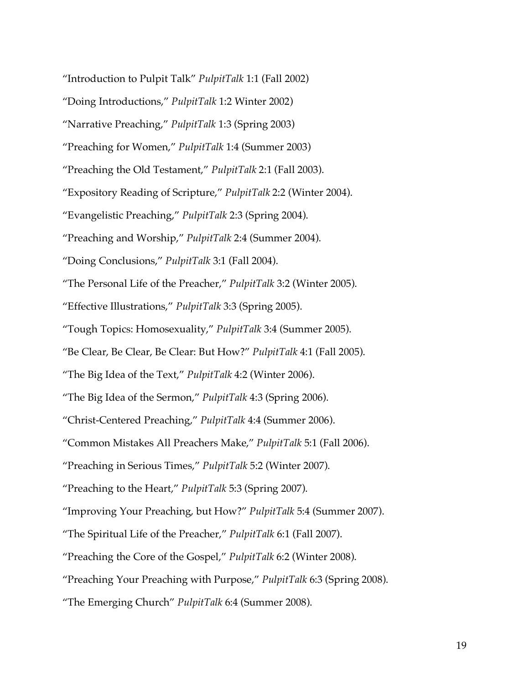"Introduction to Pulpit Talk" *PulpitTalk* 1:1 (Fall 2002)

"Doing Introductions," *PulpitTalk* 1:2 Winter 2002)

"Narrative Preaching," *PulpitTalk* 1:3 (Spring 2003)

"Preaching for Women," *PulpitTalk* 1:4 (Summer 2003)

"Preaching the Old Testament," *PulpitTalk* 2:1 (Fall 2003).

"Expository Reading of Scripture," *PulpitTalk* 2:2 (Winter 2004).

"Evangelistic Preaching," *PulpitTalk* 2:3 (Spring 2004).

"Preaching and Worship," *PulpitTalk* 2:4 (Summer 2004).

"Doing Conclusions," *PulpitTalk* 3:1 (Fall 2004).

"The Personal Life of the Preacher," *PulpitTalk* 3:2 (Winter 2005).

"Effective Illustrations," *PulpitTalk* 3:3 (Spring 2005).

"Tough Topics: Homosexuality," *PulpitTalk* 3:4 (Summer 2005).

"Be Clear, Be Clear, Be Clear: But How?" *PulpitTalk* 4:1 (Fall 2005).

"The Big Idea of the Text," *PulpitTalk* 4:2 (Winter 2006).

"The Big Idea of the Sermon," *PulpitTalk* 4:3 (Spring 2006).

"Christ-Centered Preaching," *PulpitTalk* 4:4 (Summer 2006).

"Common Mistakes All Preachers Make," *PulpitTalk* 5:1 (Fall 2006).

"Preaching in Serious Times," *PulpitTalk* 5:2 (Winter 2007).

"Preaching to the Heart," *PulpitTalk* 5:3 (Spring 2007).

"Improving Your Preaching, but How?" *PulpitTalk* 5:4 (Summer 2007).

"The Spiritual Life of the Preacher," *PulpitTalk* 6:1 (Fall 2007).

"Preaching the Core of the Gospel," *PulpitTalk* 6:2 (Winter 2008).

"Preaching Your Preaching with Purpose," *PulpitTalk* 6:3 (Spring 2008).

"The Emerging Church" *PulpitTalk* 6:4 (Summer 2008).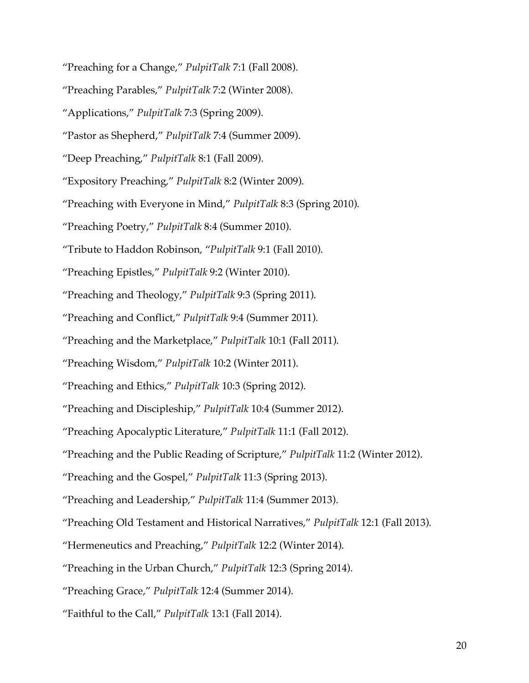"Preaching for a Change," *PulpitTalk* 7:1 (Fall 2008).

"Preaching Parables," *PulpitTalk* 7:2 (Winter 2008).

"Applications," *PulpitTalk* 7:3 (Spring 2009).

"Pastor as Shepherd," *PulpitTalk* 7:4 (Summer 2009).

"Deep Preaching," *PulpitTalk* 8:1 (Fall 2009).

"Expository Preaching," *PulpitTalk* 8:2 (Winter 2009).

"Preaching with Everyone in Mind," *PulpitTalk* 8:3 (Spring 2010).

"Preaching Poetry," *PulpitTalk* 8:4 (Summer 2010).

"Tribute to Haddon Robinson, "*PulpitTalk* 9:1 (Fall 2010).

"Preaching Epistles," *PulpitTalk* 9:2 (Winter 2010).

"Preaching and Theology," *PulpitTalk* 9:3 (Spring 2011).

"Preaching and Conflict," *PulpitTalk* 9:4 (Summer 2011).

"Preaching and the Marketplace," *PulpitTalk* 10:1 (Fall 2011).

"Preaching Wisdom," *PulpitTalk* 10:2 (Winter 2011).

"Preaching and Ethics," *PulpitTalk* 10:3 (Spring 2012).

"Preaching and Discipleship," *PulpitTalk* 10:4 (Summer 2012).

"Preaching Apocalyptic Literature," *PulpitTalk* 11:1 (Fall 2012).

"Preaching and the Public Reading of Scripture," *PulpitTalk* 11:2 (Winter 2012).

"Preaching and the Gospel," *PulpitTalk* 11:3 (Spring 2013).

"Preaching and Leadership," *PulpitTalk* 11:4 (Summer 2013).

"Preaching Old Testament and Historical Narratives," *PulpitTalk* 12:1 (Fall 2013).

"Hermeneutics and Preaching," *PulpitTalk* 12:2 (Winter 2014).

"Preaching in the Urban Church," *PulpitTalk* 12:3 (Spring 2014).

"Preaching Grace," *PulpitTalk* 12:4 (Summer 2014).

"Faithful to the Call," *PulpitTalk* 13:1 (Fall 2014).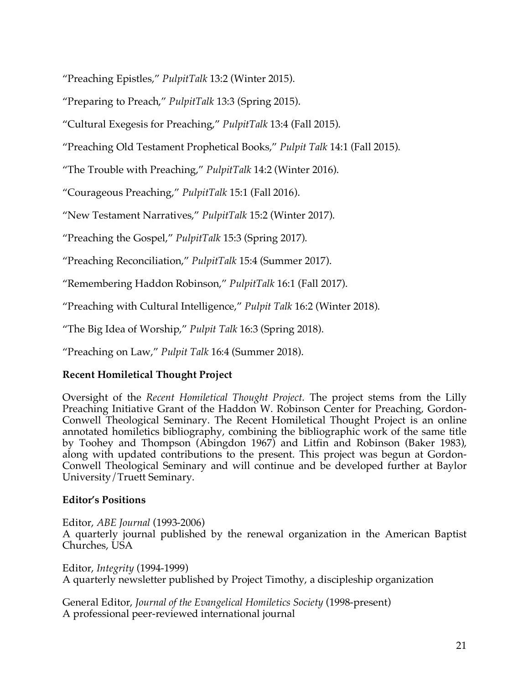"Preaching Epistles," *PulpitTalk* 13:2 (Winter 2015).

"Preparing to Preach," *PulpitTalk* 13:3 (Spring 2015).

"Cultural Exegesis for Preaching," *PulpitTalk* 13:4 (Fall 2015).

"Preaching Old Testament Prophetical Books," *Pulpit Talk* 14:1 (Fall 2015).

"The Trouble with Preaching," *PulpitTalk* 14:2 (Winter 2016).

"Courageous Preaching," *PulpitTalk* 15:1 (Fall 2016).

"New Testament Narratives," *PulpitTalk* 15:2 (Winter 2017).

"Preaching the Gospel," *PulpitTalk* 15:3 (Spring 2017).

"Preaching Reconciliation," *PulpitTalk* 15:4 (Summer 2017).

"Remembering Haddon Robinson," *PulpitTalk* 16:1 (Fall 2017).

"Preaching with Cultural Intelligence," *Pulpit Talk* 16:2 (Winter 2018).

"The Big Idea of Worship," *Pulpit Talk* 16:3 (Spring 2018).

"Preaching on Law," *Pulpit Talk* 16:4 (Summer 2018).

# **Recent Homiletical Thought Project**

Oversight of the *Recent Homiletical Thought Project.* The project stems from the Lilly Preaching Initiative Grant of the Haddon W. Robinson Center for Preaching, Gordon-Conwell Theological Seminary. The Recent Homiletical Thought Project is an online annotated homiletics bibliography, combining the bibliographic work of the same title by Toohey and Thompson (Abingdon 1967) and Litfin and Robinson (Baker 1983), along with updated contributions to the present. This project was begun at Gordon-Conwell Theological Seminary and will continue and be developed further at Baylor University/Truett Seminary.

## **Editor's Positions**

Editor, *ABE Journal* (1993-2006)

A quarterly journal published by the renewal organization in the American Baptist Churches, USA

Editor, *Integrity* (1994-1999) A quarterly newsletter published by Project Timothy, a discipleship organization

General Editor, *Journal of the Evangelical Homiletics Society* (1998-present) A professional peer-reviewed international journal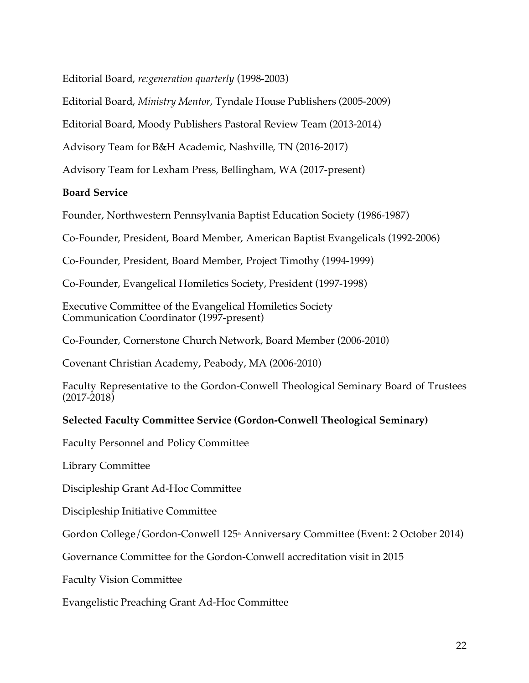Editorial Board, *re:generation quarterly* (1998-2003)

Editorial Board, *Ministry Mentor*, Tyndale House Publishers (2005-2009)

Editorial Board, Moody Publishers Pastoral Review Team (2013-2014)

Advisory Team for B&H Academic, Nashville, TN (2016-2017)

Advisory Team for Lexham Press, Bellingham, WA (2017-present)

## **Board Service**

Founder, Northwestern Pennsylvania Baptist Education Society (1986-1987)

Co-Founder, President, Board Member, American Baptist Evangelicals (1992-2006)

Co-Founder, President, Board Member, Project Timothy (1994-1999)

Co-Founder, Evangelical Homiletics Society, President (1997-1998)

Executive Committee of the Evangelical Homiletics Society Communication Coordinator (1997-present)

Co-Founder, Cornerstone Church Network, Board Member (2006-2010)

Covenant Christian Academy, Peabody, MA (2006-2010)

Faculty Representative to the Gordon-Conwell Theological Seminary Board of Trustees (2017-2018)

# **Selected Faculty Committee Service (Gordon-Conwell Theological Seminary)**

Faculty Personnel and Policy Committee

Library Committee

Discipleship Grant Ad-Hoc Committee

Discipleship Initiative Committee

Gordon College/Gordon-Conwell 125<sup>th</sup> Anniversary Committee (Event: 2 October 2014)

Governance Committee for the Gordon-Conwell accreditation visit in 2015

Faculty Vision Committee

Evangelistic Preaching Grant Ad-Hoc Committee